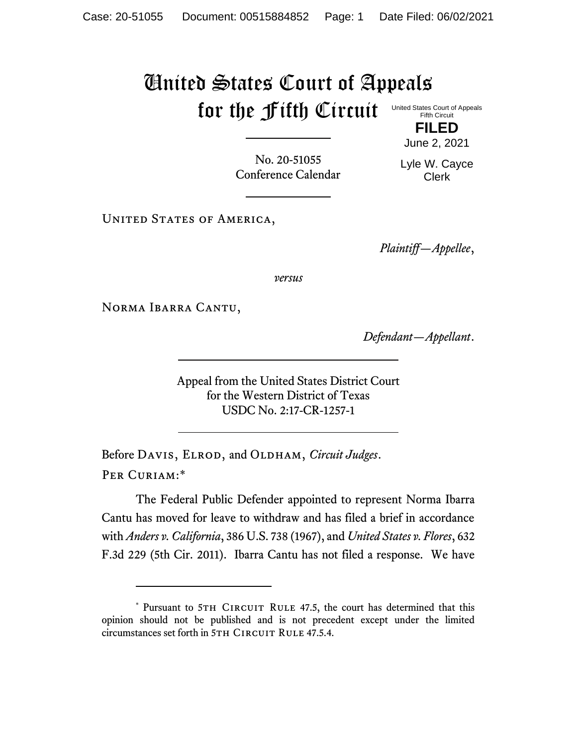## United States Court of Appeals for the Fifth Circuit United States Court of Appeals Fifth Circuit

No. 20-51055 Conference Calendar June 2, 2021

**FILED**

Lyle W. Cayce Clerk

UNITED STATES OF AMERICA,

*Plaintiff—Appellee*,

*versus*

Norma Ibarra Cantu,

*Defendant—Appellant*.

Appeal from the United States District Court for the Western District of Texas USDC No. 2:17-CR-1257-1

Before DAVIS, ELROD, and OLDHAM, *Circuit Judges*. Per Curiam:\*

The Federal Public Defender appointed to represent Norma Ibarra Cantu has moved for leave to withdraw and has filed a brief in accordance with *Anders v. California*, 386 U.S. 738 (1967), and *United States v. Flores*, 632 F.3d 229 (5th Cir. 2011). Ibarra Cantu has not filed a response. We have

<sup>\*</sup> Pursuant to 5TH CIRCUIT RULE 47.5, the court has determined that this opinion should not be published and is not precedent except under the limited circumstances set forth in 5TH CIRCUIT RULE 47.5.4.